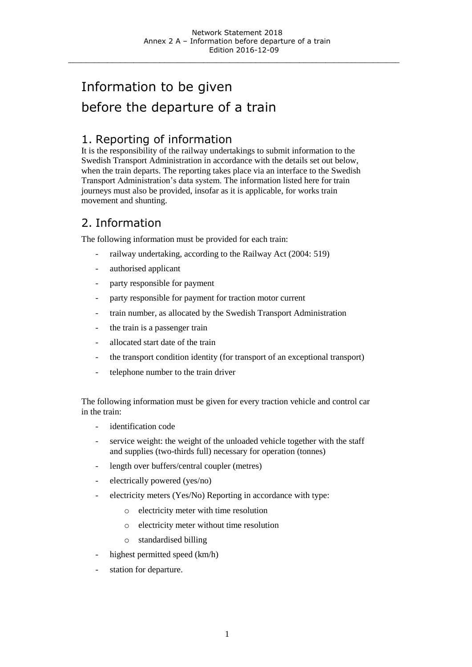\_\_\_\_\_\_\_\_\_\_\_\_\_\_\_\_\_\_\_\_\_\_\_\_\_\_\_\_\_\_\_\_\_\_\_\_\_\_\_\_\_\_\_\_\_\_\_\_\_\_\_\_\_\_\_\_\_\_\_\_\_\_\_\_\_\_\_\_\_\_\_\_\_\_\_\_

# Information to be given before the departure of a train

#### 1. Reporting of information

It is the responsibility of the railway undertakings to submit information to the Swedish Transport Administration in accordance with the details set out below, when the train departs. The reporting takes place via an interface to the Swedish Transport Administration's data system. The information listed here for train journeys must also be provided, insofar as it is applicable, for works train movement and shunting.

#### 2. Information

The following information must be provided for each train:

- railway undertaking, according to the Railway Act (2004: 519)
- authorised applicant
- party responsible for payment
- party responsible for payment for traction motor current
- train number, as allocated by the Swedish Transport Administration
- the train is a passenger train
- allocated start date of the train
- the transport condition identity (for transport of an exceptional transport)
- telephone number to the train driver

The following information must be given for every traction vehicle and control car in the train:

- identification code
- service weight: the weight of the unloaded vehicle together with the staff and supplies (two-thirds full) necessary for operation (tonnes)
- length over buffers/central coupler (metres)
- electrically powered (yes/no)
- electricity meters (Yes/No) Reporting in accordance with type:
	- o electricity meter with time resolution
	- o electricity meter without time resolution
	- o standardised billing
- highest permitted speed (km/h)
- station for departure.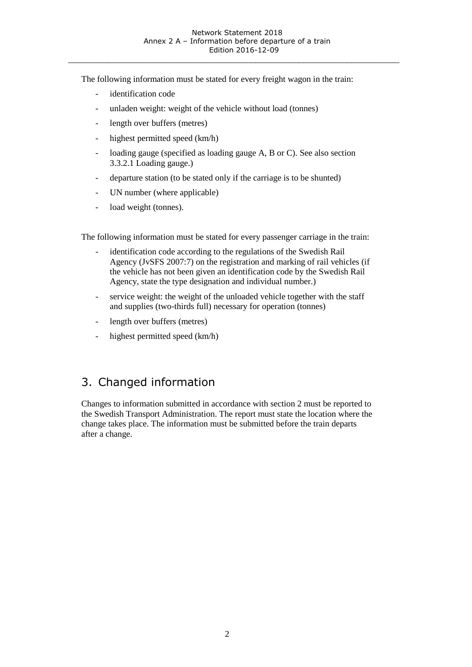\_\_\_\_\_\_\_\_\_\_\_\_\_\_\_\_\_\_\_\_\_\_\_\_\_\_\_\_\_\_\_\_\_\_\_\_\_\_\_\_\_\_\_\_\_\_\_\_\_\_\_\_\_\_\_\_\_\_\_\_\_\_\_\_\_\_\_\_\_\_\_\_\_\_\_\_

The following information must be stated for every freight wagon in the train:

- identification code
- unladen weight: weight of the vehicle without load (tonnes)
- length over buffers (metres)
- highest permitted speed (km/h)
- loading gauge (specified as loading gauge A, B or C). See also section 3.3.2.1 Loading gauge.)
- departure station (to be stated only if the carriage is to be shunted)
- UN number (where applicable)
- load weight (tonnes).

The following information must be stated for every passenger carriage in the train:

- identification code according to the regulations of the Swedish Rail Agency (JvSFS 2007:7) on the registration and marking of rail vehicles (if the vehicle has not been given an identification code by the Swedish Rail Agency, state the type designation and individual number.)
- service weight: the weight of the unloaded vehicle together with the staff and supplies (two-thirds full) necessary for operation (tonnes)
- length over buffers (metres)
- highest permitted speed (km/h)

### 3. Changed information

Changes to information submitted in accordance with section 2 must be reported to the Swedish Transport Administration. The report must state the location where the change takes place. The information must be submitted before the train departs after a change.